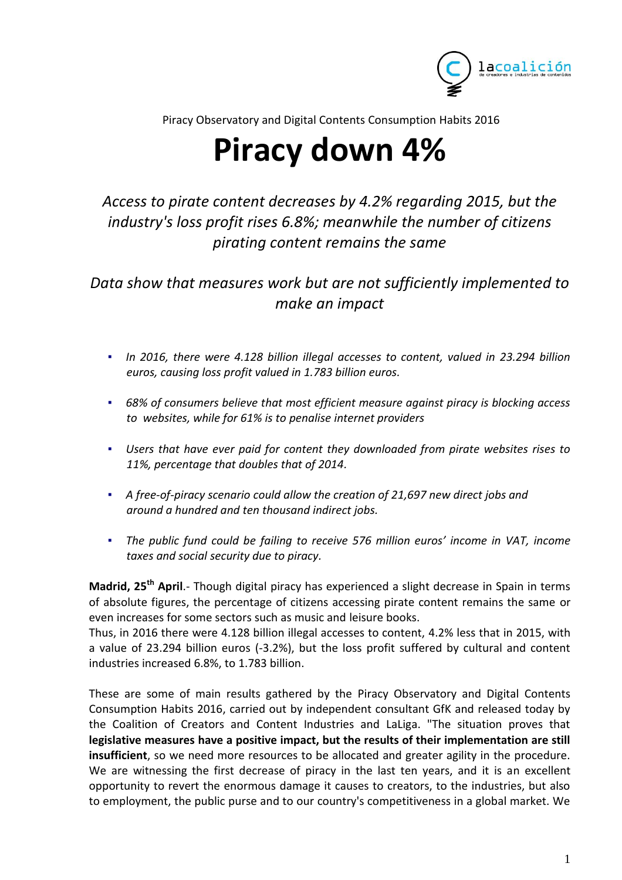

Piracy Observatory and Digital Contents Consumption Habits 2016

# **Piracy down 4%**

# *Access to pirate content decreases by 4.2% regarding 2015, but the industry's loss profit rises 6.8%; meanwhile the number of citizens pirating content remains the same*

*Data show that measures work but are not sufficiently implemented to make an impact*

- *In 2016, there were 4.128 billion illegal accesses to content, valued in 23.294 billion euros, causing loss profit valued in 1.783 billion euros.*
- *▪ 68% of consumers believe that most efficient measure against piracy is blocking access to websites, while for 61% is to penalise internet providers*
- *▪ Users that have ever paid for content they downloaded from pirate websites rises to 11%, percentage that doubles that of 2014.*
- *▪ A free-of-piracy scenario could allow the creation of 21,697 new direct jobs and around a hundred and ten thousand indirect jobs.*
- *▪ The public fund could be failing to receive 576 million euros' income in VAT, income taxes and social security due to piracy.*

**Madrid, 25th April**.- Though digital piracy has experienced a slight decrease in Spain in terms of absolute figures, the percentage of citizens accessing pirate content remains the same or even increases for some sectors such as music and leisure books.

Thus, in 2016 there were 4.128 billion illegal accesses to content, 4.2% less that in 2015, with a value of 23.294 billion euros (-3.2%), but the loss profit suffered by cultural and content industries increased 6.8%, to 1.783 billion.

These are some of main results gathered by the Piracy Observatory and Digital Contents Consumption Habits 2016, carried out by independent consultant GfK and released today by the Coalition of Creators and Content Industries and LaLiga. "The situation proves that **legislative measures have a positive impact, but the results of their implementation are still insufficient**, so we need more resources to be allocated and greater agility in the procedure. We are witnessing the first decrease of piracy in the last ten years, and it is an excellent opportunity to revert the enormous damage it causes to creators, to the industries, but also to employment, the public purse and to our country's competitiveness in a global market. We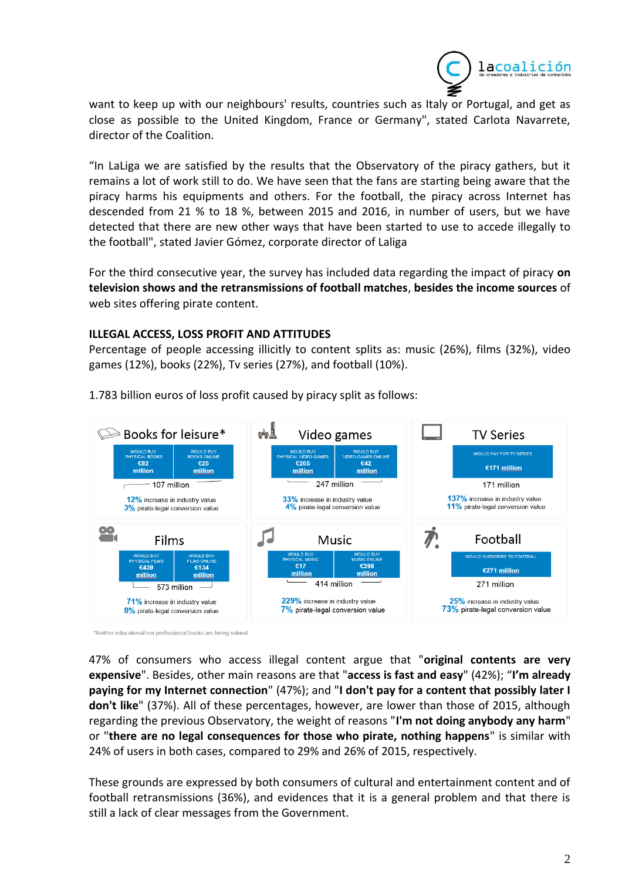

want to keep up with our neighbours' results, countries such as Italy or Portugal, and get as close as possible to the United Kingdom, France or Germany", stated Carlota Navarrete, director of the Coalition.

"In LaLiga we are satisfied by the results that the Observatory of the piracy gathers, but it remains a lot of work still to do. We have seen that the fans are starting being aware that the piracy harms his equipments and others. For the football, the piracy across Internet has descended from 21 % to 18 %, between 2015 and 2016, in number of users, but we have detected that there are new other ways that have been started to use to accede illegally to the football", stated Javier Gómez, corporate director of Laliga

For the third consecutive year, the survey has included data regarding the impact of piracy **on television shows and the retransmissions of football matches**, **besides the income sources** of web sites offering pirate content.

# **ILLEGAL ACCESS, LOSS PROFIT AND ATTITUDES**

Percentage of people accessing illicitly to content splits as: music (26%), films (32%), video games (12%), books (22%), Tv series (27%), and football (10%).



1.783 billion euros of loss profit caused by piracy split as follows:

\*Neither educational nor professional books are being valued

47% of consumers who access illegal content argue that "**original contents are very expensive**". Besides, other main reasons are that "**access is fast and easy**" (42%); "**I'm already paying for my Internet connection**" (47%); and "**I don't pay for a content that possibly later I don't like**" (37%). All of these percentages, however, are lower than those of 2015, although regarding the previous Observatory, the weight of reasons "**I'm not doing anybody any harm**" or "**there are no legal consequences for those who pirate, nothing happens**" is similar with 24% of users in both cases, compared to 29% and 26% of 2015, respectively.

These grounds are expressed by both consumers of cultural and entertainment content and of football retransmissions (36%), and evidences that it is a general problem and that there is still a lack of clear messages from the Government.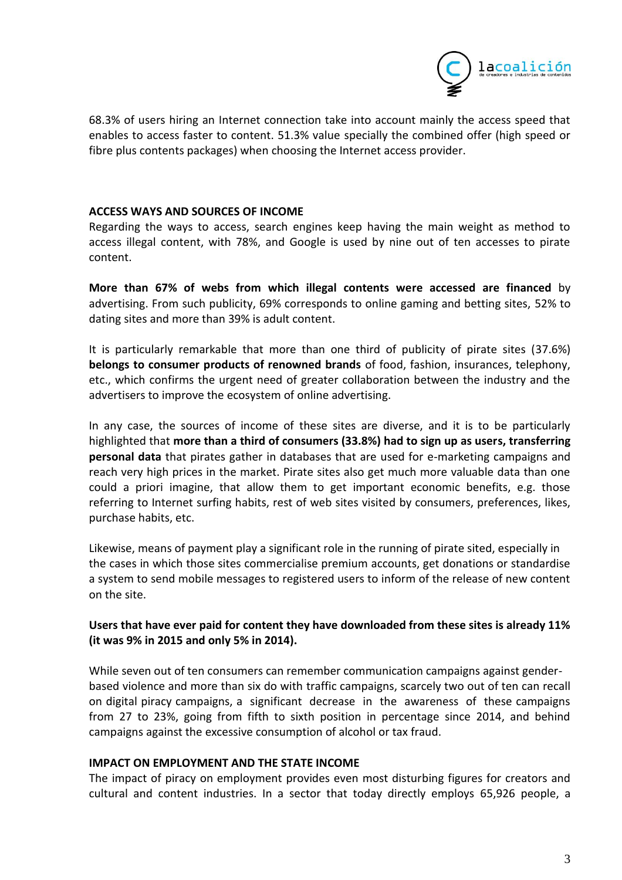

68.3% of users hiring an Internet connection take into account mainly the access speed that enables to access faster to content. 51.3% value specially the combined offer (high speed or fibre plus contents packages) when choosing the Internet access provider.

# **ACCESS WAYS AND SOURCES OF INCOME**

Regarding the ways to access, search engines keep having the main weight as method to access illegal content, with 78%, and Google is used by nine out of ten accesses to pirate content.

**More than 67% of webs from which illegal contents were accessed are financed** by advertising. From such publicity, 69% corresponds to online gaming and betting sites, 52% to dating sites and more than 39% is adult content.

It is particularly remarkable that more than one third of publicity of pirate sites (37.6%) **belongs to consumer products of renowned brands** of food, fashion, insurances, telephony, etc., which confirms the urgent need of greater collaboration between the industry and the advertisers to improve the ecosystem of online advertising.

In any case, the sources of income of these sites are diverse, and it is to be particularly highlighted that **more than a third of consumers (33.8%) had to sign up as users, transferring personal data** that pirates gather in databases that are used for e-marketing campaigns and reach very high prices in the market. Pirate sites also get much more valuable data than one could a priori imagine, that allow them to get important economic benefits, e.g. those referring to Internet surfing habits, rest of web sites visited by consumers, preferences, likes, purchase habits, etc.

Likewise, means of payment play a significant role in the running of pirate sited, especially in the cases in which those sites commercialise premium accounts, get donations or standardise a system to send mobile messages to registered users to inform of the release of new content on the site.

# **Users that have ever paid for content they have downloaded from these sites is already 11% (it was 9% in 2015 and only 5% in 2014).**

While seven out of ten consumers can remember communication campaigns against genderbased violence and more than six do with traffic campaigns, scarcely two out of ten can recall on digital piracy campaigns, a significant decrease in the awareness of these campaigns from 27 to 23%, going from fifth to sixth position in percentage since 2014, and behind campaigns against the excessive consumption of alcohol or tax fraud.

# **IMPACT ON EMPLOYMENT AND THE STATE INCOME**

The impact of piracy on employment provides even most disturbing figures for creators and cultural and content industries. In a sector that today directly employs 65,926 people, a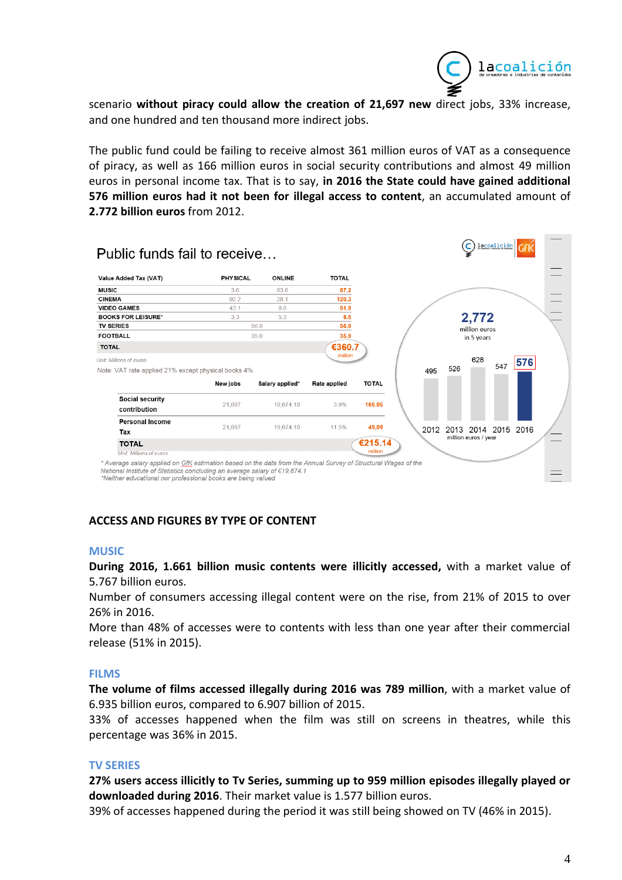

**Contract Contract** 

scenario **without piracy could allow the creation of 21,697 new** direct jobs, 33% increase, and one hundred and ten thousand more indirect jobs.

The public fund could be failing to receive almost 361 million euros of VAT as a consequence of piracy, as well as 166 million euros in social security contributions and almost 49 million euros in personal income tax. That is to say, **in 2016 the State could have gained additional 576 million euros had it not been for illegal access to content**, an accumulated amount of **2.772 billion euros** from 2012.

| Value Added Tax (VAT)                               | <b>PHYSICAL</b> | <b>ONLINE</b>   | <b>TOTAL</b> |              |
|-----------------------------------------------------|-----------------|-----------------|--------------|--------------|
| <b>MUSIC</b>                                        | 3.6             | 83.6            | 87.2         |              |
| <b>CINEMA</b>                                       | 92.2            | 281             | 120.3        |              |
| <b>VIDEO GAMES</b>                                  | 43.1            | 8.8             | 51.9         |              |
| <b>BOOKS FOR LEISURE*</b>                           | 3.3             | 5.3             | 8.5          |              |
| <b>TV SERIES</b>                                    |                 | 56.9            | 56.9         |              |
| <b>FOOTBALL</b>                                     |                 | 35.9            | 35.9         |              |
| <b>TOTAL</b>                                        |                 |                 | €360.7       |              |
| Unit: Millions of euros                             |                 |                 | million      |              |
| Note: VAT rate applied 21% except physical books 4% |                 |                 |              |              |
|                                                     | New jobs        | Salary applied* | Rate applied | <b>TOTAL</b> |
| Social security<br>contribution                     | 21,697          | 19,674.10       | 3.9%         | 166.05       |
| <b>Personal Income</b>                              |                 |                 |              |              |
| Tax                                                 | 21.697          | 19.674.10       | 11.5%        | 49,09        |
|                                                     |                 |                 |              | €215.14      |
| <b>TOTAL</b>                                        |                 |                 |              | million      |

# **ACCESS AND FIGURES BY TYPE OF CONTENT**

#### **MUSIC**

**During 2016, 1.661 billion music contents were illicitly accessed,** with a market value of 5.767 billion euros.

Number of consumers accessing illegal content were on the rise, from 21% of 2015 to over 26% in 2016.

More than 48% of accesses were to contents with less than one year after their commercial release (51% in 2015).

#### **FILMS**

**The volume of films accessed illegally during 2016 was 789 million**, with a market value of 6.935 billion euros, compared to 6.907 billion of 2015.

33% of accesses happened when the film was still on screens in theatres, while this percentage was 36% in 2015.

#### **TV SERIES**

**27% users access illicitly to Tv Series, summing up to 959 million episodes illegally played or downloaded during 2016**. Their market value is 1.577 billion euros.

39% of accesses happened during the period it was still being showed on TV (46% in 2015).